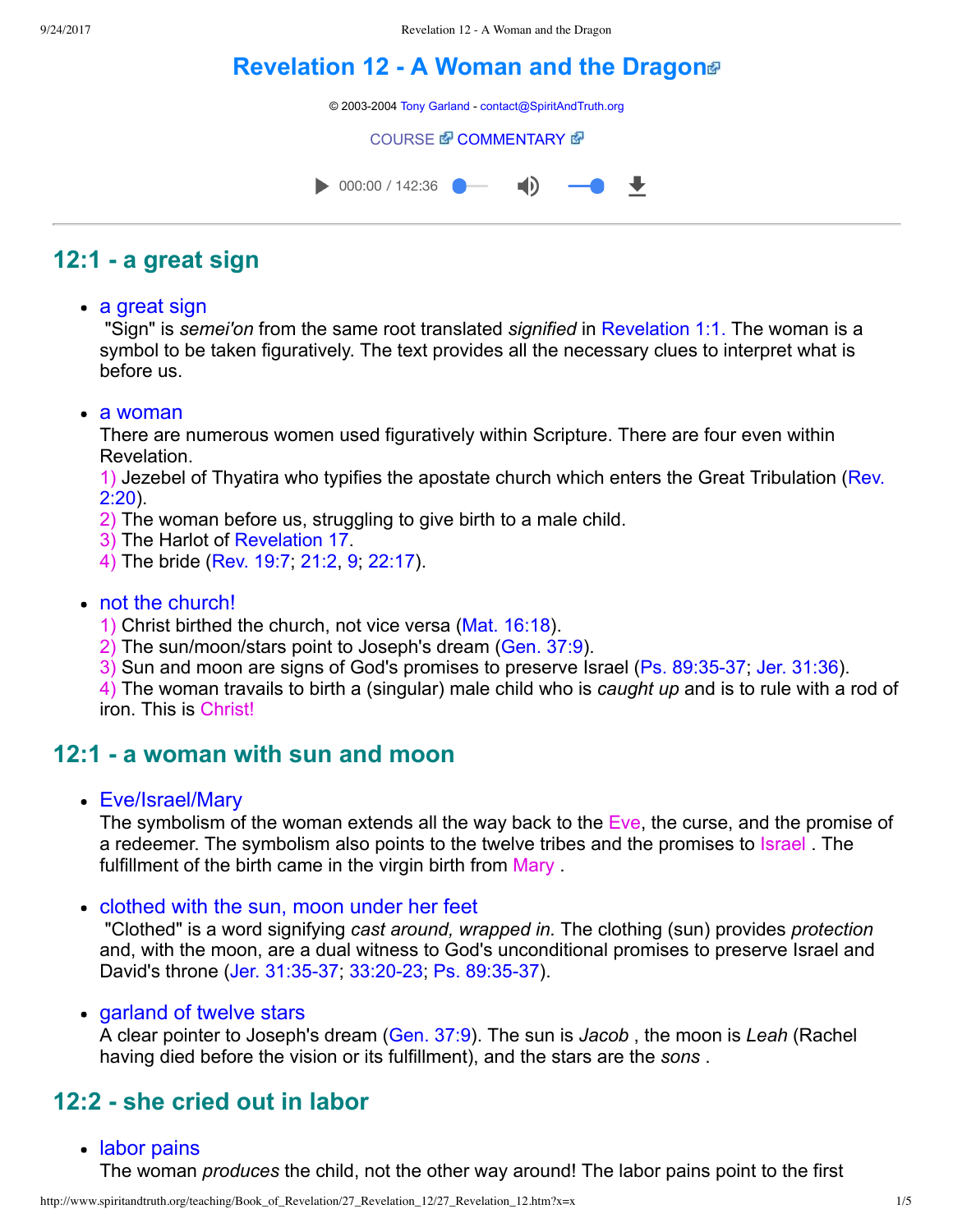# **[Revelation](http://www.spiritandtruth.org/teaching/Book_of_Revelation/27_Revelation_12/index.htm) 12 A Woman and the Dragon**

© 2003-2004 [Tony Garland](http://www.spiritandtruth.org/teaching/teachers/tony_garland/bio.htm) - [contact@SpiritAndTruth.org](mailto:contact@SpiritAndTruth.org?subject=ST-MAIL:%20Revelation%2012%20-%20A%20Woman%20and%20the%20Dragon)

#### **[COURSE](http://www.spiritandtruth.org/teaching/Book_of_Revelation/27_Revelation_12/index.htm) & [COMMENTARY](http://www.spiritandtruth.org/teaching/Book_of_Revelation/commentary/htm/index.html?Revelation_12) &**



# **12:1 a great sign**

• a great sign

 "Sign" is *semei'on* from the same root translated *signified* in [Revelation 1:1.](http://www.spiritandtruth.org/bibles/nasb/b66c001.htm#Rev._C1V1) The woman is a symbol to be taken figuratively. The text provides all the necessary clues to interpret what is before us.

a woman

There are numerous women used figuratively within Scripture. There are four even within Revelation.

[1\) Jezebel of Thyatira who typifies the apostate church which enters the Great Tribulation \(Rev.](http://www.spiritandtruth.org/bibles/nasb/b66c002.htm#Rev._C2V20) 2:20).

- 2) The woman before us, struggling to give birth to a male child.
- 3) The Harlot of [Revelation 17](http://www.spiritandtruth.org/bibles/nasb/b66c017.htm#Rev._C17V1).
- 4) The bride [\(Rev. 19:7](http://www.spiritandtruth.org/bibles/nasb/b66c019.htm#Rev._C19V7); [21:2](http://www.spiritandtruth.org/bibles/nasb/b66c021.htm#Rev._C21V2), [9](http://www.spiritandtruth.org/bibles/nasb/b66c021.htm#Rev._C21V9); [22:17\)](http://www.spiritandtruth.org/bibles/nasb/b66c022.htm#Rev._C22V17).

### • not the church!

- 1) Christ birthed the church, not vice versa ([Mat. 16:18\)](http://www.spiritandtruth.org/bibles/nasb/b40c016.htm#Mat._C16V18).
- 2) The sun/moon/stars point to Joseph's dream [\(Gen. 37:9\)](http://www.spiritandtruth.org/bibles/nasb/b01c037.htm#Gen._C37V9).
- 3) Sun and moon are signs of God's promises to preserve Israel (Ps. 89:35-37; [Jer. 31:36\)](http://www.spiritandtruth.org/bibles/nasb/b24c031.htm#Jer._C31V36).

4) The woman travails to birth a (singular) male child who is *caught up* and is to rule with a rod of iron. This is Christ!

### **12:1 a woman with sun and moon**

Eve/Israel/Mary

The symbolism of the woman extends all the way back to the Eve, the curse, and the promise of a redeemer. The symbolism also points to the twelve tribes and the promises to Israel . The fulfillment of the birth came in the virgin birth from Mary

• clothed with the sun, moon under her feet

 "Clothed" is a word signifying *cast around, wrapped in.* The clothing (sun) provides *protection* and, with the moon, are a dual witness to God's unconditional promises to preserve Israel and David's throne (Jer. 31:35-37, 33:20-23, Ps. 89:35-37).

• garland of twelve stars

A clear pointer to Joseph's dream ([Gen. 37:9\)](http://www.spiritandtruth.org/bibles/nasb/b01c037.htm#Gen._C37V9). The sun is *Jacob* , the moon is *Leah* (Rachel having died before the vision or its fulfillment), and the stars are the *sons* .

# **12:2 she cried out in labor**

• labor pains

The woman *produces* the child, not the other way around! The labor pains point to the first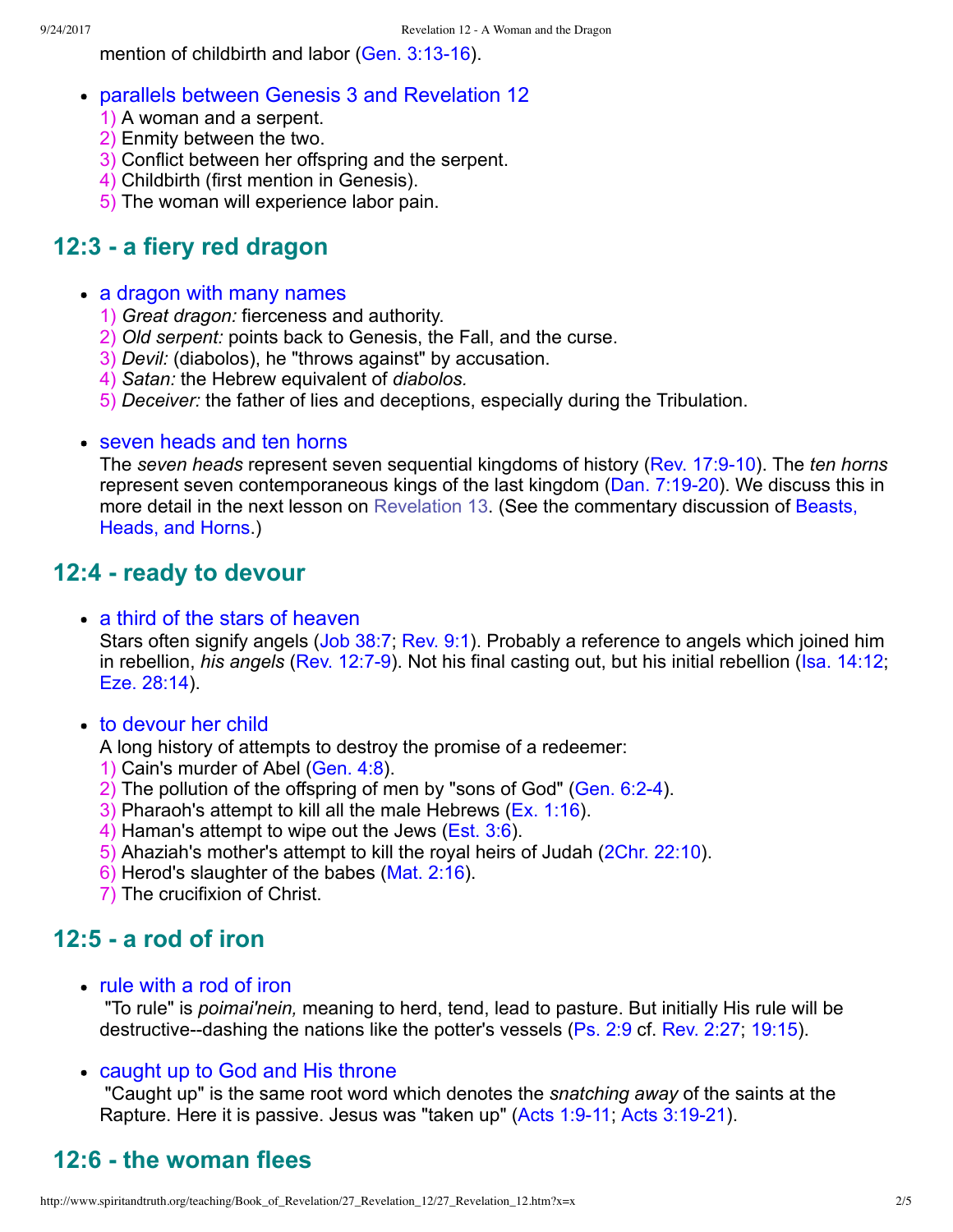mention of childbirth and labor (Gen.  $3:13-16$ ).

- parallels between Genesis [3](http://www.spiritandtruth.org/bibles/nasb/b01c003.htm#Gen._C3V1) and Revelation [12](http://www.spiritandtruth.org/bibles/nasb/b66c012.htm#Rev._C12V1)
	- 1) A woman and a serpent.
	- 2) Enmity between the two.
	- 3) Conflict between her offspring and the serpent.
	- 4) Childbirth (first mention in Genesis).
	- 5) The woman will experience labor pain.

# **12:3 a fiery red dragon**

### • a dragon with many names

- 1) *Great dragon:* fierceness and authority.
- 2) *Old serpent:* points back to Genesis, the Fall, and the curse.
- 3) *Devil:* (diabolos), he "throws against" by accusation.
- 4) *Satan:* the Hebrew equivalent of *diabolos.*
- 5) *Deceiver:* the father of lies and deceptions, especially during the Tribulation.

### • seven heads and ten horns

The *seven heads* represent seven sequential kingdoms of history ([Rev. 17:910\)](http://www.spiritandtruth.org/bibles/nasb/b66c017.htm#Rev._C17V9). The *ten horns* represent seven contemporaneous kings of the last kingdom (Dan. 7:19-20). We discuss this in [more detail in the next lesson on Revelation 13. \(See the commentary discussion of Beasts,](http://www.spiritandtruth.org/teaching/Book_of_Revelation/commentary/htm/index.html?Beasts,_Heads) Heads, and Horns.)

# **12:4 ready to devour**

• a third of the stars of heaven

Stars often signify angels ([Job 38:7;](http://www.spiritandtruth.org/bibles/nasb/b18c038.htm#Job_C38V7) [Rev. 9:1](http://www.spiritandtruth.org/bibles/nasb/b66c009.htm#Rev._C9V1)). Probably a reference to angels which joined him in rebellion, *his angels* (Rev. 12:7-9). Not his final casting out, but his initial rebellion [\(Isa. 14:12;](http://www.spiritandtruth.org/bibles/nasb/b23c014.htm#Isa._C14V12) [Eze. 28:14\)](http://www.spiritandtruth.org/bibles/nasb/b26c028.htm#Eze._C28V14).

• to devour her child

A long history of attempts to destroy the promise of a redeemer:

- 1) Cain's murder of Abel ([Gen. 4:8](http://www.spiritandtruth.org/bibles/nasb/b01c004.htm#Gen._C4V8)).
- 2) The pollution of the offspring of men by "sons of God" ([Gen. 6:24](http://www.spiritandtruth.org/bibles/nasb/b01c006.htm#Gen._C6V2)).
- 3) Pharaoh's attempt to kill all the male Hebrews ([Ex. 1:16\)](http://www.spiritandtruth.org/bibles/nasb/b02c001.htm#Ex._C1V16).
- 4) Haman's attempt to wipe out the Jews ([Est. 3:6\)](http://www.spiritandtruth.org/bibles/nasb/b17c003.htm#Est._C3V6).
- 5) Ahaziah's mother's attempt to kill the royal heirs of Judah [\(2Chr. 22:10\)](http://www.spiritandtruth.org/bibles/nasb/b14c022.htm#2Chr._C22V10).
- 6) Herod's slaughter of the babes ([Mat. 2:16\)](http://www.spiritandtruth.org/bibles/nasb/b40c002.htm#Mat._C2V16).
- 7) The crucifixion of Christ.

# **12:5 a rod of iron**

rule with a rod of iron

 "To rule" is *poimai'nein,* meaning to herd, tend, lead to pasture. But initially His rule will be destructive--dashing the nations like the potter's vessels ([Ps. 2:9](http://www.spiritandtruth.org/bibles/nasb/b19c002.htm#Ps._C2V9) cf. [Rev. 2:27;](http://www.spiritandtruth.org/bibles/nasb/b66c002.htm#Rev._C2V27) [19:15\)](http://www.spiritandtruth.org/bibles/nasb/b66c019.htm#Rev._C19V15).

### • caught up to God and His throne

 "Caught up" is the same root word which denotes the *snatching away* of the saints at the Rapture. Here it is passive. Jesus was "taken up" (Acts 1:9-11; Acts 3:19-21).

# **12:6 the woman flees**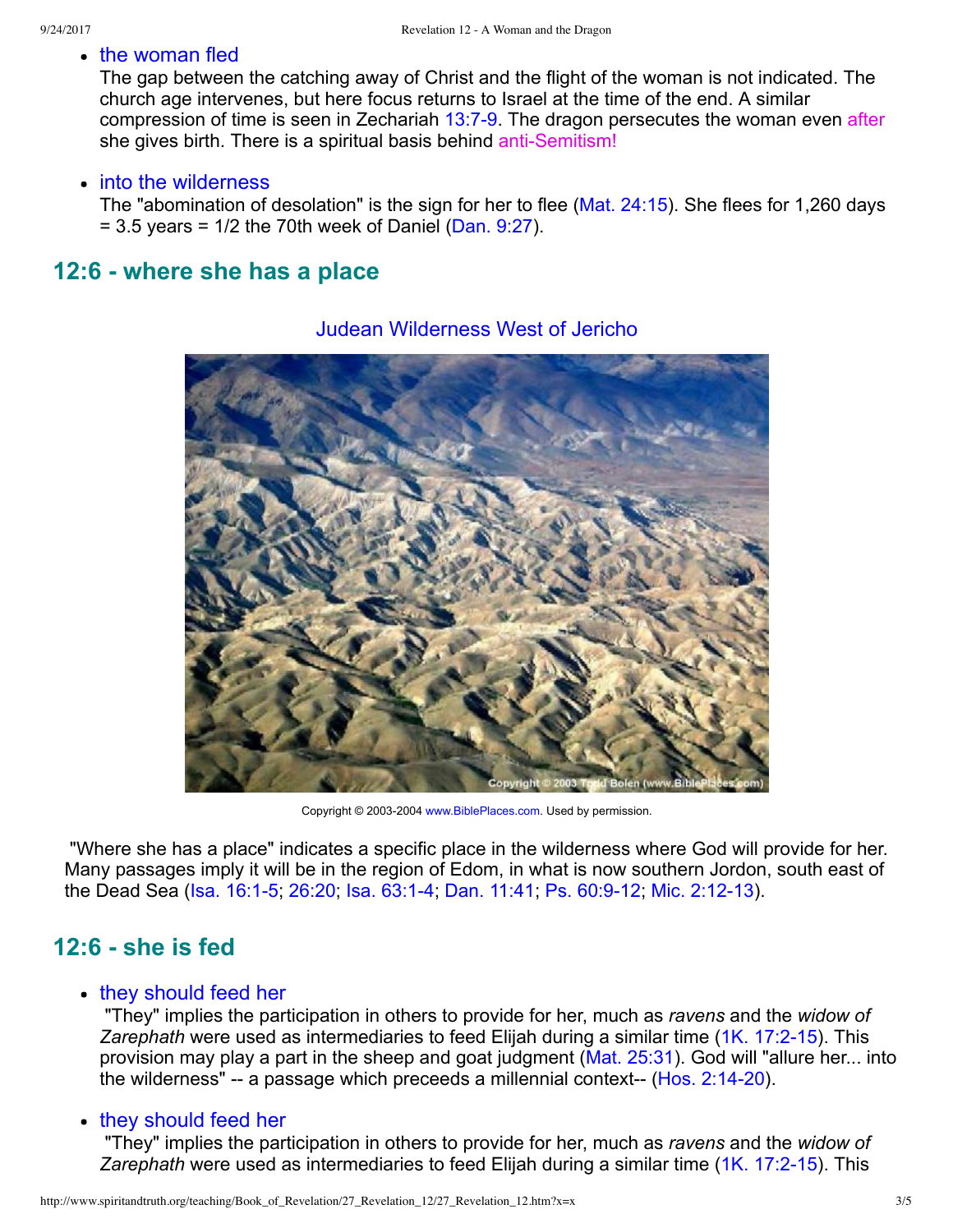• the woman fled

The gap between the catching away of Christ and the flight of the woman is not indicated. The church age intervenes, but here focus returns to Israel at the time of the end. A similar compression of time is seen in Zechariah  $13:7-9$ . The dragon persecutes the woman even after she gives birth. There is a spiritual basis behind anti-Semitism!

#### • into the wilderness

The "abomination of desolation" is the sign for her to flee ([Mat. 24:15](http://www.spiritandtruth.org/bibles/nasb/b40c024.htm#Mat._C24V15)). She flees for 1,260 days  $= 3.5$  years = 1/2 the 70th week of Daniel ([Dan. 9:27\)](http://www.spiritandtruth.org/bibles/nasb/b27c009.htm#Dan._C9V27).

### **12:6 where she has a place**



### Judean Wilderness West of Jericho

Copyright © 2003-2004 [www.BiblePlaces.com](http://www.bibleplaces.com/). Used by permission.

 "Where she has a place" indicates a specific place in the wilderness where God will provide for her. Many passages imply it will be in the region of Edom, in what is now southern Jordon, south east of the Dead Sea (Isa. 16:1-5; [26:20;](http://www.spiritandtruth.org/bibles/nasb/b23c026.htm#Isa._C26V20) Isa. 63:1-4; [Dan. 11:41;](http://www.spiritandtruth.org/bibles/nasb/b27c011.htm#Dan._C11V41) Ps. 60:9-12; Mic. 2:12-13).

# **12:6 she is fed**

### • they should feed her

 "They" implies the participation in others to provide for her, much as *ravens* and the *widow of* Zarephath were used as intermediaries to feed Elijah during a similar time (1K. 17:2-15). This provision may play a part in the sheep and goat judgment [\(Mat. 25:31](http://www.spiritandtruth.org/bibles/nasb/b40c025.htm#Mat._C25V31)). God will "allure her... into the wilderness"  $-$  a passage which preceeds a millennial context $-$  (Hos. 2:14-20).

### • they should feed her

 "They" implies the participation in others to provide for her, much as *ravens* and the *widow of* Zarephath were used as intermediaries to feed Elijah during a similar time (1K, 17:2-15). This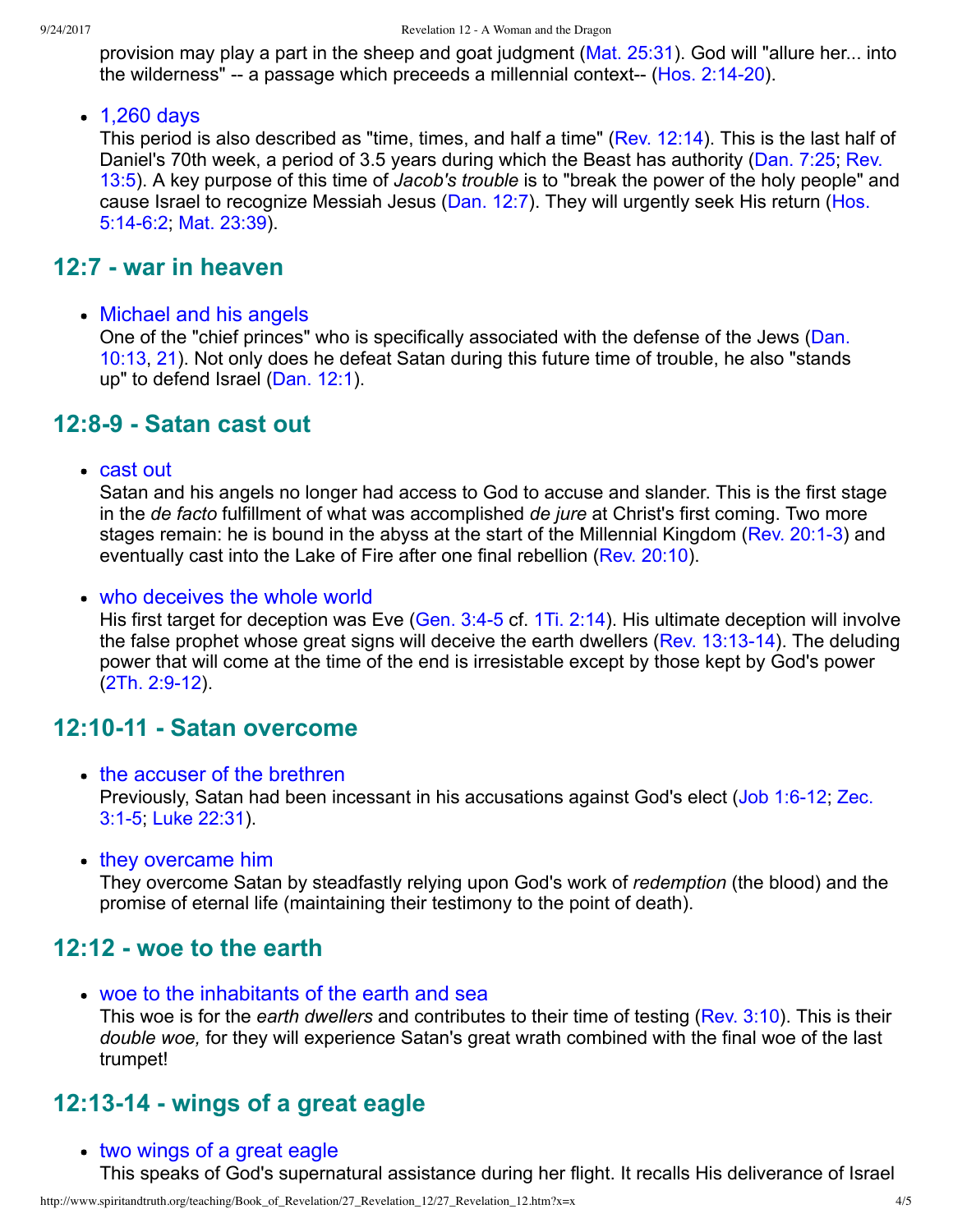provision may play a part in the sheep and goat judgment [\(Mat. 25:31](http://www.spiritandtruth.org/bibles/nasb/b40c025.htm#Mat._C25V31)). God will "allure her... into the wilderness"  $-$  a passage which preceeds a millennial context $-$  (Hos. 2:14-20).

• 1,260 days

This period is also described as "time, times, and half a time" ([Rev. 12:14](http://www.spiritandtruth.org/bibles/nasb/b66c012.htm#Rev._C12V14)). This is the last half of [Daniel's 70th week, a period of 3.5 years during which the Beast has authority \(Dan. 7:25; Rev.](http://www.spiritandtruth.org/bibles/nasb/b66c013.htm#Rev._C13V5) 13:5). A key purpose of this time of *Jacob's trouble* is to "break the power of the holy people" and [cause Israel to recognize Messiah Jesus \(Dan. 12:7\). They will urgently seek His return \(Hos.](http://www.spiritandtruth.org/bibles/nasb/b28c005.htm#Hos._C5V14) 5:14-6:2; [Mat. 23:39](http://www.spiritandtruth.org/bibles/nasb/b40c023.htm#Mat._C23V39)).

# **12:7 war in heaven**

• Michael and his angels

One of the "chief princes" who is specifically associated with the defense of the Jews (Dan. [10:13, 21\). Not only does he defeat Satan during this future time of trouble, he also "stands](http://www.spiritandtruth.org/bibles/nasb/b27c010.htm#Dan._C10V13) up" to defend Israel [\(Dan. 12:1](http://www.spiritandtruth.org/bibles/nasb/b27c012.htm#Dan._C12V1)).

# **12:89 Satan cast out**

cast out

Satan and his angels no longer had access to God to accuse and slander. This is the first stage in the *de facto* fulfillment of what was accomplished *de jure* at Christ's first coming. Two more stages remain: he is bound in the abyss at the start of the Millennial Kingdom (Rev. 20:1-3) and eventually cast into the Lake of Fire after one final rebellion [\(Rev. 20:10](http://www.spiritandtruth.org/bibles/nasb/b66c020.htm#Rev._C20V10)).

• who deceives the whole world

His first target for deception was Eve (Gen. 3:4-5 cf. [1Ti. 2:14](http://www.spiritandtruth.org/bibles/nasb/b54c002.htm#1Ti._C2V14)). His ultimate deception will involve the false prophet whose great signs will deceive the earth dwellers (Rev.  $13:13-14$ ). The deluding power that will come at the time of the end is irresistable except by those kept by God's power  $(2Th. 2:9-12).$ 

# **12:1011 Satan overcome**

- the accuser of the brethren [Previously, Satan had been incessant in his accusations against God's elect \(J](http://www.spiritandtruth.org/bibles/nasb/b38c003.htm#Zec._C3V1)ob 1:6-12[; Zec.](http://www.spiritandtruth.org/bibles/nasb/b38c003.htm#Zec._C3V1) 3:15; [Luke 22:31\)](http://www.spiritandtruth.org/bibles/nasb/b42c022.htm#Luke_C22V31).
- they overcame him

They overcome Satan by steadfastly relying upon God's work of *redemption* (the blood) and the promise of eternal life (maintaining their testimony to the point of death).

# **12:12 woe to the earth**

woe to the inhabitants of the earth and sea

This woe is for the *earth dwellers* and contributes to their time of testing ([Rev. 3:10](http://www.spiritandtruth.org/bibles/nasb/b66c003.htm#Rev._C3V10)). This is their *double woe,* for they will experience Satan's great wrath combined with the final woe of the last trumpet!

# **12:1314 wings of a great eagle**

• two wings of a great eagle

This speaks of God's supernatural assistance during her flight. It recalls His deliverance of Israel